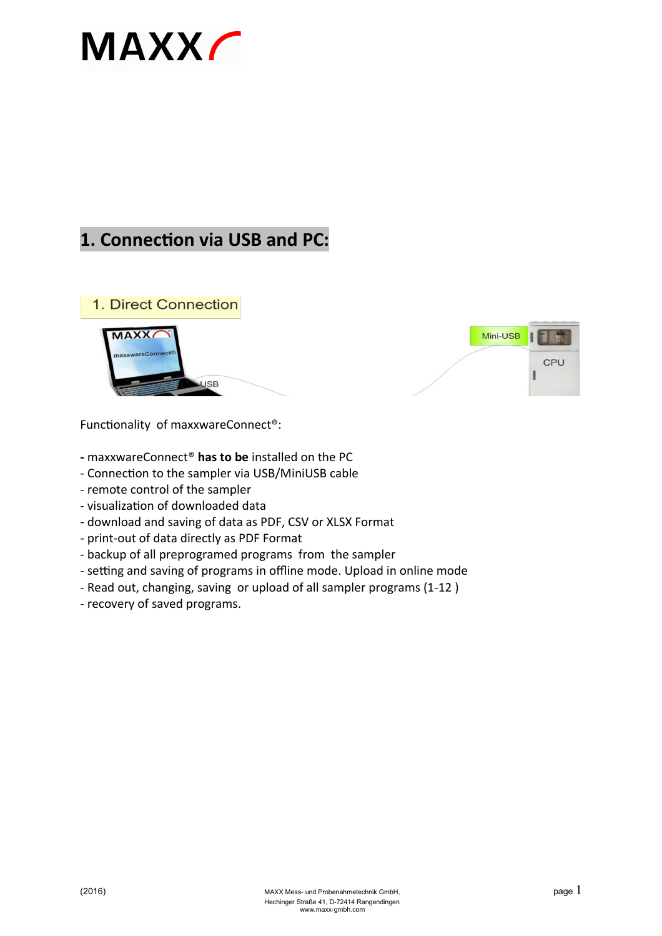## **MAXX**

## **1. Connection via USB and PC:**







Functionality of maxxwareConnect®:

- **-** maxxwareConnect® **has to be** installed on the PC
- Connection to the sampler via USB/MiniUSB cable
- remote control of the sampler
- visualization of downloaded data
- download and saving of data as PDF, CSV or XLSX Format
- print-out of data directly as PDF Format
- backup of all preprogramed programs from the sampler
- setting and saving of programs in offline mode. Upload in online mode
- Read out, changing, saving or upload of all sampler programs (1-12 )
- recovery of saved programs.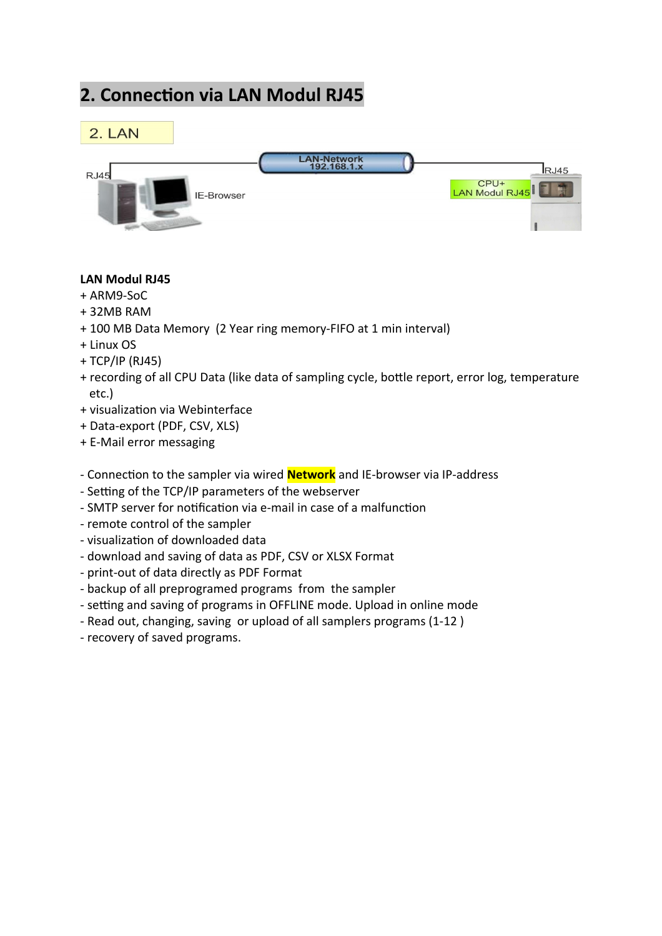## **2. Connection via LAN Modul RJ45**



#### **LAN Modul RJ45**

- + ARM9-SoC
- + 32MB RAM
- + 100 MB Data Memory (2 Year ring memory-FIFO at 1 min interval)
- + Linux OS
- + TCP/IP (RJ45)
- + recording of all CPU Data (like data of sampling cycle, bottle report, error log, temperature etc.)
- + visualization via Webinterface
- + Data-export (PDF, CSV, XLS)
- + E-Mail error messaging
- Connection to the sampler via wired **Network** and IE-browser via IP-address
- Setting of the TCP/IP parameters of the webserver
- SMTP server for notification via e-mail in case of a malfunction
- remote control of the sampler
- visualization of downloaded data
- download and saving of data as PDF, CSV or XLSX Format
- print-out of data directly as PDF Format
- backup of all preprogramed programs from the sampler
- setting and saving of programs in OFFLINE mode. Upload in online mode
- Read out, changing, saving or upload of all samplers programs (1-12 )
- recovery of saved programs.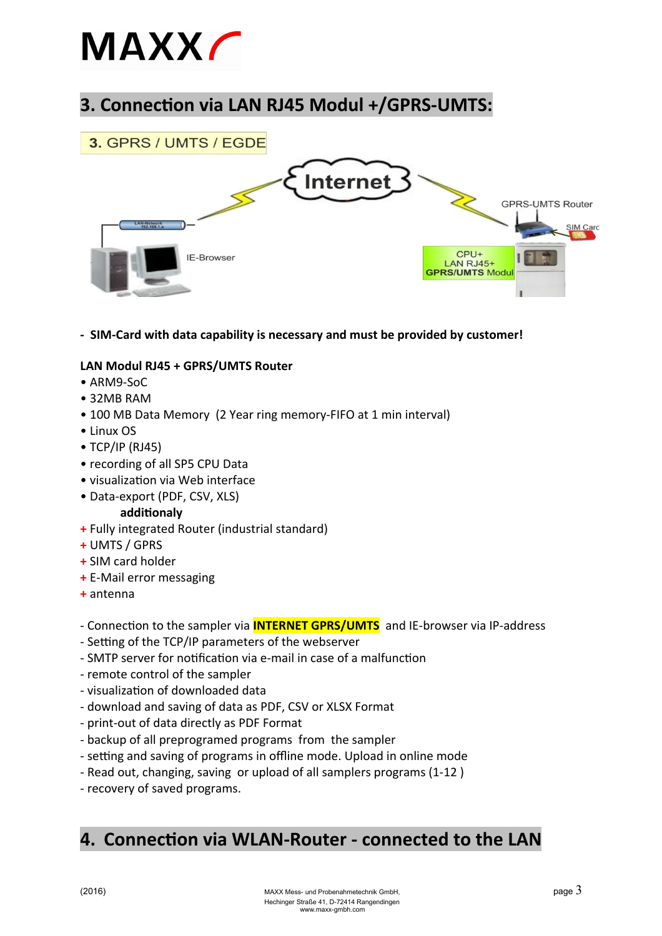# **MAXX**

## **3. Connection via LAN RJ45 Modul +/GPRS-UMTS:**



**- SIM-Card with data capability is necessary and must be provided by customer!**

#### **LAN Modul RJ45 + GPRS/UMTS Router**

- ARM9-SoC
- 32MB RAM
- 100 MB Data Memory (2 Year ring memory-FIFO at 1 min interval)
- Linux OS
- TCP/IP (RJ45)
- recording of all SP5 CPU Data
- visualization via Web interface
- Data-export (PDF, CSV, XLS) **additionaly**
- **+** Fully integrated Router (industrial standard)
- **+** UMTS / GPRS
- **+** SIM card holder
- **+** E-Mail error messaging
- **+** antenna

#### - Connection to the sampler via **INTERNET GPRS/UMTS** and IE-browser via IP-address

- Setting of the TCP/IP parameters of the webserver
- SMTP server for notification via e-mail in case of a malfunction
- remote control of the sampler
- visualization of downloaded data
- download and saving of data as PDF, CSV or XLSX Format
- print-out of data directly as PDF Format
- backup of all preprogramed programs from the sampler
- setting and saving of programs in offline mode. Upload in online mode
- Read out, changing, saving or upload of all samplers programs (1-12 )
- recovery of saved programs.

### **4. Connection via WLAN-Router - connected to the LAN**